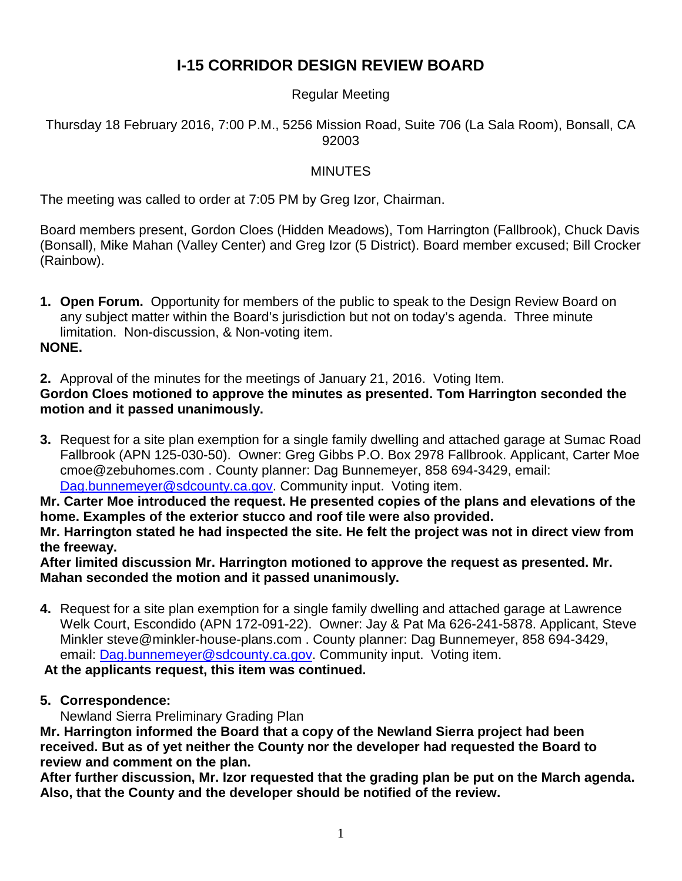# **I-15 CORRIDOR DESIGN REVIEW BOARD**

## Regular Meeting

Thursday 18 February 2016, 7:00 P.M., 5256 Mission Road, Suite 706 (La Sala Room), Bonsall, CA 92003

## MINUTES

The meeting was called to order at 7:05 PM by Greg Izor, Chairman.

Board members present, Gordon Cloes (Hidden Meadows), Tom Harrington (Fallbrook), Chuck Davis (Bonsall), Mike Mahan (Valley Center) and Greg Izor (5 District). Board member excused; Bill Crocker (Rainbow).

**1. Open Forum.** Opportunity for members of the public to speak to the Design Review Board on any subject matter within the Board's jurisdiction but not on today's agenda. Three minute limitation. Non-discussion, & Non-voting item.

#### **NONE.**

**2.** Approval of the minutes for the meetings of January 21, 2016. Voting Item.

## **Gordon Cloes motioned to approve the minutes as presented. Tom Harrington seconded the motion and it passed unanimously.**

**3.** Request for a site plan exemption for a single family dwelling and attached garage at Sumac Road Fallbrook (APN 125-030-50). Owner: Greg Gibbs P.O. Box 2978 Fallbrook. Applicant, Carter Moe cmoe@zebuhomes.com . County planner: Dag Bunnemeyer, 858 694-3429, email: [Dag.bunnemeyer@sdcounty.ca.gov.](mailto:Dag.bunnemeyer@sdcounty.ca.gov) Community input. Voting item.

**Mr. Carter Moe introduced the request. He presented copies of the plans and elevations of the home. Examples of the exterior stucco and roof tile were also provided.**

**Mr. Harrington stated he had inspected the site. He felt the project was not in direct view from the freeway.** 

**After limited discussion Mr. Harrington motioned to approve the request as presented. Mr. Mahan seconded the motion and it passed unanimously.** 

**4.** Request for a site plan exemption for a single family dwelling and attached garage at Lawrence Welk Court, Escondido (APN 172-091-22). Owner: Jay & Pat Ma 626-241-5878. Applicant, Steve Minkler steve@minkler-house-plans.com . County planner: Dag Bunnemeyer, 858 694-3429, email: [Dag.bunnemeyer@sdcounty.ca.gov.](mailto:Dag.bunnemeyer@sdcounty.ca.gov) Community input. Voting item.

## **At the applicants request, this item was continued.**

**5. Correspondence:**

Newland Sierra Preliminary Grading Plan

**Mr. Harrington informed the Board that a copy of the Newland Sierra project had been received. But as of yet neither the County nor the developer had requested the Board to review and comment on the plan.** 

**After further discussion, Mr. Izor requested that the grading plan be put on the March agenda. Also, that the County and the developer should be notified of the review.**